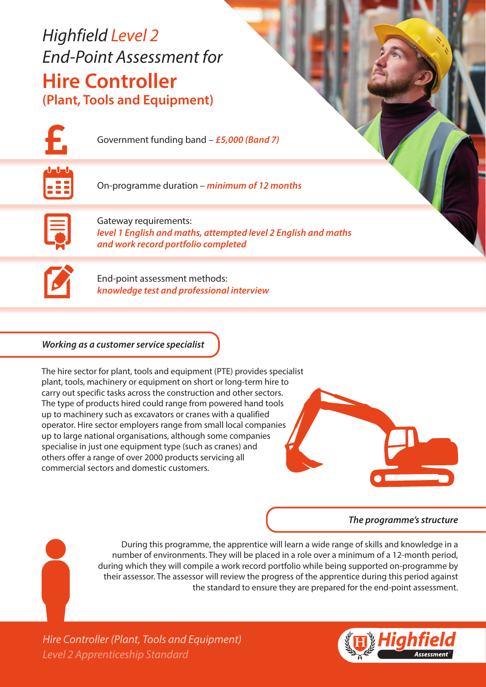# *Highfield Level 2 End-Point Assessment for* **Hire Controller (Plant, Tools and Equipment)**



Government funding band – *£5,000 (Band 7)*



On-programme duration – *minimum of 12 months*



Gateway requirements: *level 1 English and maths, attempted level 2 English and maths and work record portfolio completed*



End-point assessment methods: *knowledge test and professional interview*

### *Working as a customer service specialist*

The hire sector for plant, tools and equipment (PTE) provides specialist plant, tools, machinery or equipment on short or long-term hire to carry out specific tasks across the construction and other sectors. The type of products hired could range from powered hand tools up to machinery such as excavators or cranes with a qualified operator. Hire sector employers range from small local companies up to large national organisations, although some companies specialise in just one equipment type (such as cranes) and others offer a range of over 2000 products servicing all commercial sectors and domestic customers.



### *The programme's structure*

During this programme, the apprentice will learn a wide range of skills and knowledge in a number of environments. They will be placed in a role over a minimum of a 12-month period, during which they will compile a work record portfolio while being supported on-programme by their assessor. The assessor will review the progress of the apprentice during this period against the standard to ensure they are prepared for the end-point assessment.

*Level 2 Apprenticeship Standard Hire Controller (Plant, Tools and Equipment)*